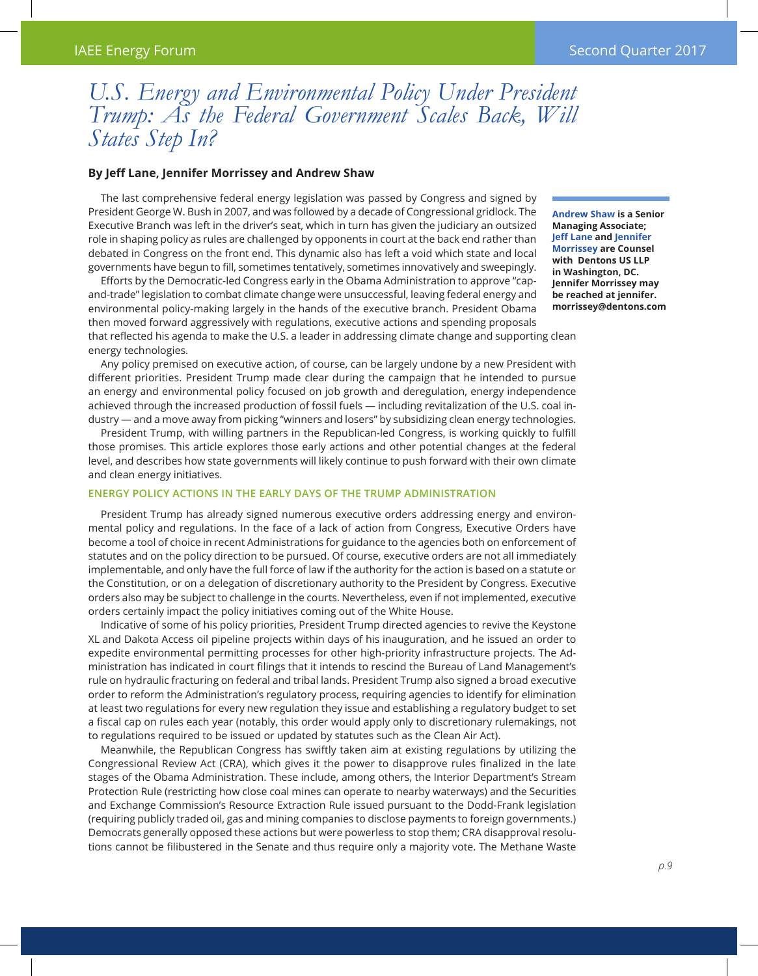## *U.S. Energy and Environmental Policy Under President Trump: As the Federal Government Scales Back, Will States Step In?*

## **By Jeff Lane, Jennifer Morrissey and Andrew Shaw**

The last comprehensive federal energy legislation was passed by Congress and signed by President George W. Bush in 2007, and was followed by a decade of Congressional gridlock. The Executive Branch was left in the driver's seat, which in turn has given the judiciary an outsized role in shaping policy as rules are challenged by opponents in court at the back end rather than debated in Congress on the front end. This dynamic also has left a void which state and local governments have begun to fill, sometimes tentatively, sometimes innovatively and sweepingly.

Efforts by the Democratic-led Congress early in the Obama Administration to approve "capand-trade" legislation to combat climate change were unsuccessful, leaving federal energy and environmental policy-making largely in the hands of the executive branch. President Obama then moved forward aggressively with regulations, executive actions and spending proposals

**Andrew Shaw is a Senior Managing Associate; Jeff Lane and Jennifer Morrissey are Counsel with Dentons US LLP in Washington, DC. Jennifer Morrissey may be reached at jennifer. morrissey@dentons.com**

that reflected his agenda to make the U.S. a leader in addressing climate change and supporting clean energy technologies.

Any policy premised on executive action, of course, can be largely undone by a new President with different priorities. President Trump made clear during the campaign that he intended to pursue an energy and environmental policy focused on job growth and deregulation, energy independence achieved through the increased production of fossil fuels — including revitalization of the U.S. coal industry — and a move away from picking "winners and losers" by subsidizing clean energy technologies.

President Trump, with willing partners in the Republican-led Congress, is working quickly to fulfill those promises. This article explores those early actions and other potential changes at the federal level, and describes how state governments will likely continue to push forward with their own climate and clean energy initiatives.

## **Energy Policy Actions in the Early Days of the Trump Administration**

President Trump has already signed numerous executive orders addressing energy and environmental policy and regulations. In the face of a lack of action from Congress, Executive Orders have become a tool of choice in recent Administrations for guidance to the agencies both on enforcement of statutes and on the policy direction to be pursued. Of course, executive orders are not all immediately implementable, and only have the full force of law if the authority for the action is based on a statute or the Constitution, or on a delegation of discretionary authority to the President by Congress. Executive orders also may be subject to challenge in the courts. Nevertheless, even if not implemented, executive orders certainly impact the policy initiatives coming out of the White House.

Indicative of some of his policy priorities, President Trump directed agencies to revive the Keystone XL and Dakota Access oil pipeline projects within days of his inauguration, and he issued an order to expedite environmental permitting processes for other high-priority infrastructure projects. The Administration has indicated in court filings that it intends to rescind the Bureau of Land Management's rule on hydraulic fracturing on federal and tribal lands. President Trump also signed a broad executive order to reform the Administration's regulatory process, requiring agencies to identify for elimination at least two regulations for every new regulation they issue and establishing a regulatory budget to set a fiscal cap on rules each year (notably, this order would apply only to discretionary rulemakings, not to regulations required to be issued or updated by statutes such as the Clean Air Act).

Meanwhile, the Republican Congress has swiftly taken aim at existing regulations by utilizing the Congressional Review Act (CRA), which gives it the power to disapprove rules finalized in the late stages of the Obama Administration. These include, among others, the Interior Department's Stream Protection Rule (restricting how close coal mines can operate to nearby waterways) and the Securities and Exchange Commission's Resource Extraction Rule issued pursuant to the Dodd-Frank legislation (requiring publicly traded oil, gas and mining companies to disclose payments to foreign governments.) Democrats generally opposed these actions but were powerless to stop them; CRA disapproval resolutions cannot be filibustered in the Senate and thus require only a majority vote. The Methane Waste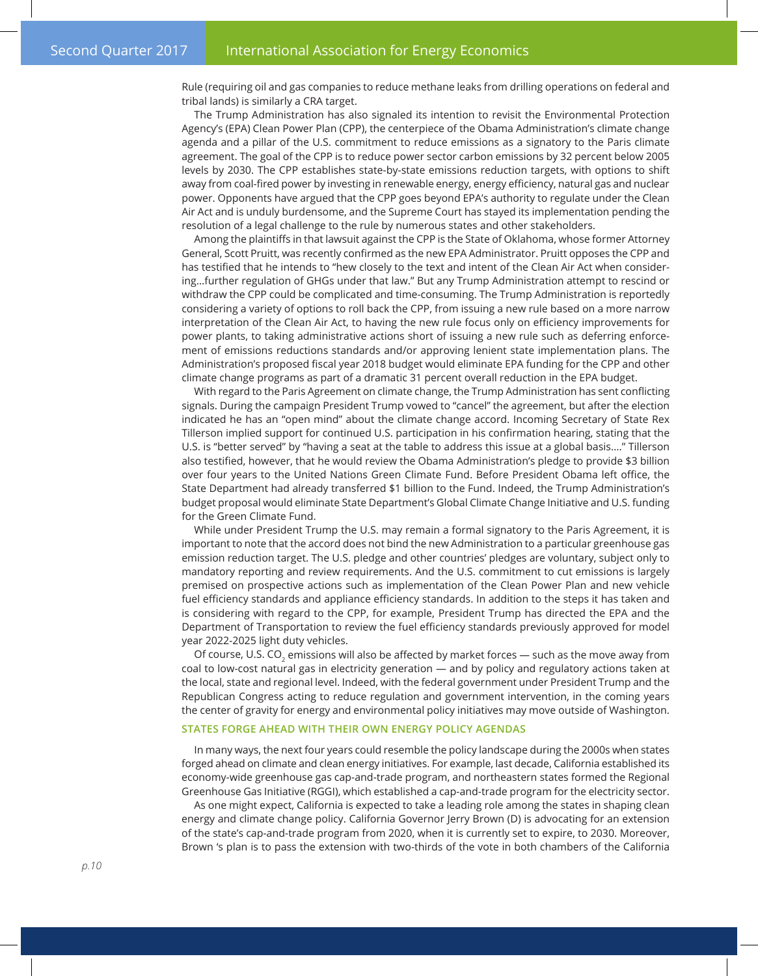Rule (requiring oil and gas companies to reduce methane leaks from drilling operations on federal and tribal lands) is similarly a CRA target.

The Trump Administration has also signaled its intention to revisit the Environmental Protection Agency's (EPA) Clean Power Plan (CPP), the centerpiece of the Obama Administration's climate change agenda and a pillar of the U.S. commitment to reduce emissions as a signatory to the Paris climate agreement. The goal of the CPP is to reduce power sector carbon emissions by 32 percent below 2005 levels by 2030. The CPP establishes state-by-state emissions reduction targets, with options to shift away from coal-fired power by investing in renewable energy, energy efficiency, natural gas and nuclear power. Opponents have argued that the CPP goes beyond EPA's authority to regulate under the Clean Air Act and is unduly burdensome, and the Supreme Court has stayed its implementation pending the resolution of a legal challenge to the rule by numerous states and other stakeholders.

Among the plaintiffs in that lawsuit against the CPP is the State of Oklahoma, whose former Attorney General, Scott Pruitt, was recently confirmed as the new EPA Administrator. Pruitt opposes the CPP and has testified that he intends to "hew closely to the text and intent of the Clean Air Act when considering…further regulation of GHGs under that law." But any Trump Administration attempt to rescind or withdraw the CPP could be complicated and time-consuming. The Trump Administration is reportedly considering a variety of options to roll back the CPP, from issuing a new rule based on a more narrow interpretation of the Clean Air Act, to having the new rule focus only on efficiency improvements for power plants, to taking administrative actions short of issuing a new rule such as deferring enforcement of emissions reductions standards and/or approving lenient state implementation plans. The Administration's proposed fiscal year 2018 budget would eliminate EPA funding for the CPP and other climate change programs as part of a dramatic 31 percent overall reduction in the EPA budget.

With regard to the Paris Agreement on climate change, the Trump Administration has sent conflicting signals. During the campaign President Trump vowed to "cancel" the agreement, but after the election indicated he has an "open mind" about the climate change accord. Incoming Secretary of State Rex Tillerson implied support for continued U.S. participation in his confirmation hearing, stating that the U.S. is "better served" by "having a seat at the table to address this issue at a global basis…." Tillerson also testified, however, that he would review the Obama Administration's pledge to provide \$3 billion over four years to the United Nations Green Climate Fund. Before President Obama left office, the State Department had already transferred \$1 billion to the Fund. Indeed, the Trump Administration's budget proposal would eliminate State Department's Global Climate Change Initiative and U.S. funding for the Green Climate Fund.

While under President Trump the U.S. may remain a formal signatory to the Paris Agreement, it is important to note that the accord does not bind the new Administration to a particular greenhouse gas emission reduction target. The U.S. pledge and other countries' pledges are voluntary, subject only to mandatory reporting and review requirements. And the U.S. commitment to cut emissions is largely premised on prospective actions such as implementation of the Clean Power Plan and new vehicle fuel efficiency standards and appliance efficiency standards. In addition to the steps it has taken and is considering with regard to the CPP, for example, President Trump has directed the EPA and the Department of Transportation to review the fuel efficiency standards previously approved for model year 2022-2025 light duty vehicles.

Of course, U.S. CO<sub>2</sub> emissions will also be affected by market forces — such as the move away from coal to low-cost natural gas in electricity generation — and by policy and regulatory actions taken at the local, state and regional level. Indeed, with the federal government under President Trump and the Republican Congress acting to reduce regulation and government intervention, in the coming years the center of gravity for energy and environmental policy initiatives may move outside of Washington.

## **States Forge Ahead with their Own Energy Policy Agendas**

In many ways, the next four years could resemble the policy landscape during the 2000s when states forged ahead on climate and clean energy initiatives. For example, last decade, California established its economy-wide greenhouse gas cap-and-trade program, and northeastern states formed the Regional Greenhouse Gas Initiative (RGGI), which established a cap-and-trade program for the electricity sector.

As one might expect, California is expected to take a leading role among the states in shaping clean energy and climate change policy. California Governor Jerry Brown (D) is advocating for an extension of the state's cap-and-trade program from 2020, when it is currently set to expire, to 2030. Moreover, Brown 's plan is to pass the extension with two-thirds of the vote in both chambers of the California